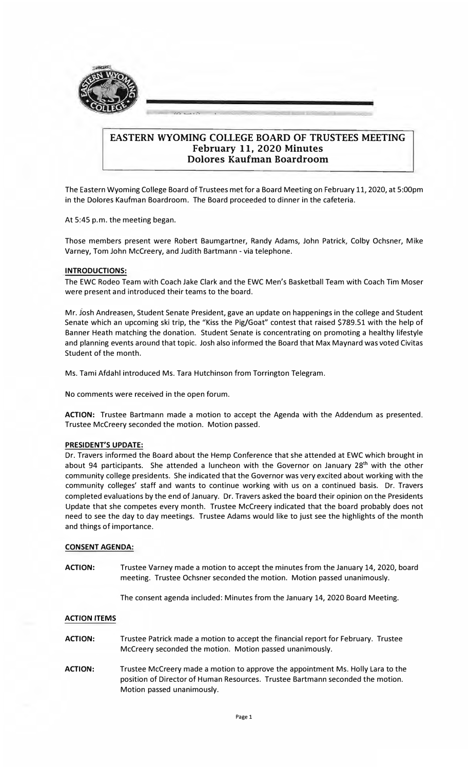

# **EASTERN WYOMING COLLEGE BOARD OF TRUSTEES MEETING February 11, 2020 Minutes Dolores Kaufman Boardroom**

The Eastern Wyoming College Board of Trustees met for a Board Meeting on February 11, 2020, at 5:00pm in the Dolores Kaufman Boardroom. The Board proceeded to dinner in the cafeteria.

At 5:45 p.m. the meeting began.

Those members present were Robert Baumgartner, Randy Adams, John Patrick, Colby Ochsner, Mike Varney, Tom John Mccreery, and Judith Bartmann - via telephone.

# **INTRODUCTIONS:**

The EWC Rodeo Team with Coach Jake Clark and the EWC Men's Basketball Team with Coach Tim Moser were present and introduced their teams to the board.

Mr. Josh Andreasen, Student Senate President, gave an update on happenings in the college and Student Senate which an upcoming ski trip, the "Kiss the Pig/Goat" contest that raised \$789.51 with the help of Banner Heath matching the donation. Student Senate is concentrating on promoting a healthy lifestyle and planning events around that topic. Josh also informed the Board that Max Maynard was voted Civitas Student of the month.

Ms. Tami Afdahl introduced Ms. Tara Hutchinson from Torrington Telegram.

No comments were received in the open forum.

**ACTION:** Trustee Bartmann made a motion to accept the Agenda with the Addendum as presented. Trustee Mccreery seconded the motion. Motion passed.

#### **PRESIDENT'S UPDATE:**

Dr. Travers informed the Board about the Hemp Conference that she attended at EWC which brought in about 94 participants. She attended a luncheon with the Governor on January 28<sup>th</sup> with the other community college presidents. She indicated that the Governor was very excited about working with the community colleges' staff and wants to continue working with us on a continued basis. Dr. Travers completed evaluations by the end of January. Dr. Travers asked the board their opinion on the Presidents Update that she competes every month. Trustee Mccreery indicated that the board probably does not need to see the day to day meetings. Trustee Adams would like to just see the highlights of the month and things of importance.

#### **CONSENT AGENDA:**

**ACTION:**  Trustee Varney made a motion to accept the minutes from the January 14, 2020, board meeting. Trustee Ochsner seconded the motion. Motion passed unanimously.

The consent agenda included: Minutes from the January 14, 2020 Board Meeting.

#### **ACTION ITEMS**

- **ACTION:**  Trustee Patrick made a motion to accept the financial report for February. Trustee Mccreery seconded the motion. Motion passed unanimously.
- **ACTION:**  Trustee Mccreery made a motion to approve the appointment Ms. Holly Lara to the position of Director of Human Resources. Trustee Bartmann seconded the motion. Motion passed unanimously.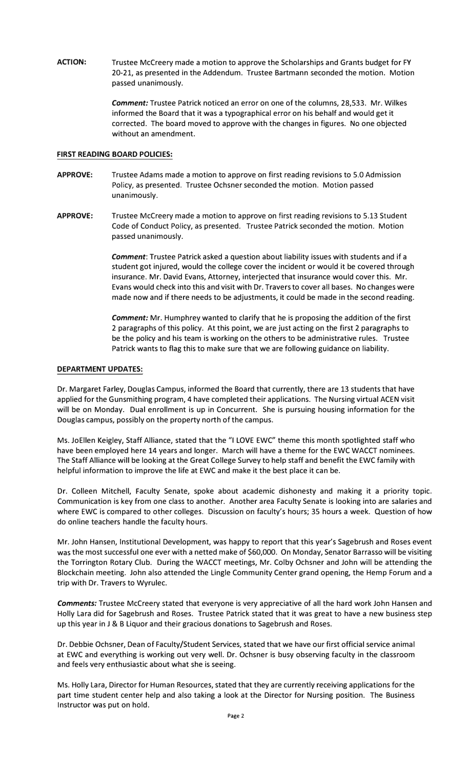**ACTION:** Trustee Mccreery made a motion to approve the Scholarships and Grants budget for FY 20-21, as presented in the Addendum. Trustee Bartmann seconded the motion. Motion passed unanimously.

> *Comment:* Trustee Patrick noticed an error on one of the columns, 28,533. Mr. Wilkes informed the Board that it was a typographical error on his behalf and would get it corrected. The board moved to approve with the changes in figures. No one objected without an amendment.

# **FIRST READING BOARD POLICIES:**

- **APPROVE:**  Trustee Adams made a motion to approve on first reading revisions to 5.0 Admission Policy, as presented. Trustee Ochsner seconded the motion. Motion passed unanimously.
- **APPROVE:**  Trustee Mccreery made a motion to approve on first reading revisions to 5.13 Student Code of Conduct Policy, as presented. Trustee Patrick seconded the motion. Motion passed unanimously.

*Comment:* Trustee Patrick asked a question about liability issues with students and if a student got injured, would the college cover the incident or would it be covered through insurance. Mr. David Evans, Attorney, interjected that insurance would cover this. Mr. Evans would check into this and visit with Dr. Travers to cover all bases. No changes were made now and if there needs to be adjustments, it could be made in the second reading.

*Comment:* Mr. Humphrey wanted to clarify that he is proposing the addition of the first 2 paragraphs of this policy. At this point, we are just acting on the first 2 paragraphs to be the policy and his team is working on the others to be administrative rules. Trustee Patrick wants to flag this to make sure that we are following guidance on liability.

### **DEPARTMENT UPDATES:**

Dr. Margaret Farley, Douglas Campus, informed the Board that currently, there are 13 students that have applied for the Gunsmithing program, 4 have completed their applications. The Nursing virtual ACEN visit will be on Monday. Dual enrollment is up in Concurrent. She is pursuing housing information for the Douglas campus, possibly on the property north of the campus.

Ms. Jo Ellen Keigley, Staff Alliance, stated that the "I LOVE EWC" theme this month spotlighted staff who have been employed here 14 years and longer. March will have a theme for the EWC WACCT nominees. The Staff Alliance will be looking at the Great College Survey to help staff and benefit the EWC family with helpful information to improve the life at EWC and make it the best place it can be.

Dr. Colleen Mitchell, Faculty Senate, spoke about academic dishonesty and making it a priority topic. Communication is key from one class to another. Another area Faculty Senate is looking into are salaries and where EWC is compared to other colleges. Discussion on faculty's hours; 35 hours a week. Question of how do online teachers handle the faculty hours.

Mr. John Hansen, Institutional Development, was happy to report that this year's Sagebrush and Roses event was the most successful one ever with a netted make of \$60,000. On Monday, Senator Barrasso will be visiting the Torrington Rotary Club. During the WACCT meetings, Mr. Colby Ochsner and John will be attending the Blockchain meeting. John also attended the Lingle Community Center grand opening, the Hemp Forum and a trip with Dr. Travers to Wyrulec.

*Comments:* Trustee Mccreery stated that everyone is very appreciative of all the hard work John Hansen and Holly Lara did for Sagebrush and Roses. Trustee Patrick stated that it was great to have a new business step up this year in J & B Liquor and their gracious donations to Sagebrush and Roses.

Dr. Debbie Ochsner, Dean of Faculty/Student Services, stated that we have our first official service animal at EWC and everything is working out very well. Dr. Ochsner is busy observing faculty in the classroom and feels very enthusiastic about what she is seeing.

Ms. Holly Lara, Director for Human Resources, stated that they are currently receiving applications for the part time student center help and also taking a look at the Director for Nursing position. The Business Instructor was put on hold.